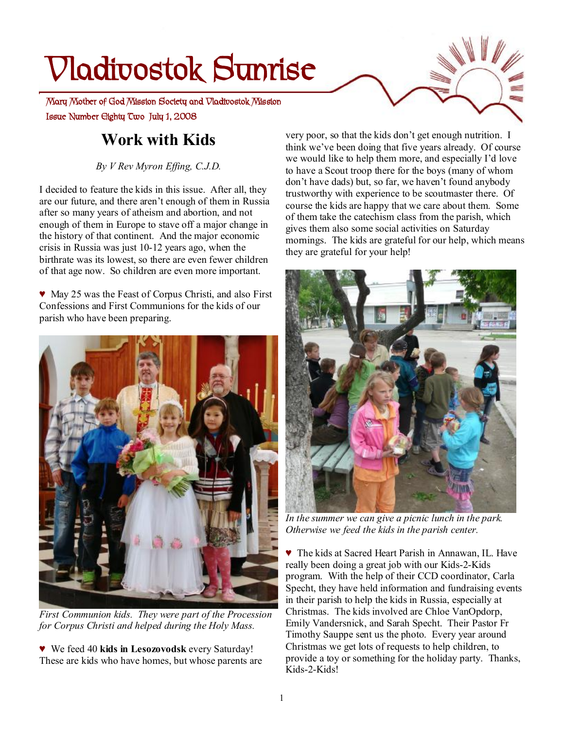# **Vladivostok Sunrise**

 **Issue Number Eighty Two July 1, 2008 Mary Mother of God Mission Society and Vladivostok Mission** 

## **Work with Kids**

*By V Rev Myron Effing, C.J.D.* 

I decided to feature the kids in this issue. After all, they are our future, and there aren't enough of them in Russia after so many years of atheism and abortion, and not enough of them in Europe to stave off a major change in the history of that continent. And the major economic crisis in Russia was just 10-12 years ago, when the birthrate was its lowest, so there are even fewer children of that age now. So children are even more important.

♥ May 25 was the Feast of Corpus Christi, and also First Confessions and First Communions for the kids of our parish who have been preparing.



*First Communion kids. They were part of the Procession for Corpus Christi and helped during the Holy Mass.* 

♥ We feed 40 **kids in Lesozovodsk** every Saturday! These are kids who have homes, but whose parents are very poor, so that the kids don't get enough nutrition. I think we've been doing that five years already. Of course we would like to help them more, and especially I'd love to have a Scout troop there for the boys (many of whom don't have dads) but, so far, we haven't found anybody trustworthy with experience to be scoutmaster there. Of course the kids are happy that we care about them. Some of them take the catechism class from the parish, which gives them also some social activities on Saturday mornings. The kids are grateful for our help, which means they are grateful for your help!



*In the summer we can give a picnic lunch in the park. Otherwise we feed the kids in the parish center.* 

♥ The kids at Sacred Heart Parish in Annawan, IL. Have really been doing a great job with our Kids-2-Kids program. With the help of their CCD coordinator, Carla Specht, they have held information and fundraising events in their parish to help the kids in Russia, especially at Christmas. The kids involved are Chloe VanOpdorp, Emily Vandersnick, and Sarah Specht. Their Pastor Fr Timothy Sauppe sent us the photo. Every year around Christmas we get lots of requests to help children, to provide a toy or something for the holiday party. Thanks, Kids-2-Kids!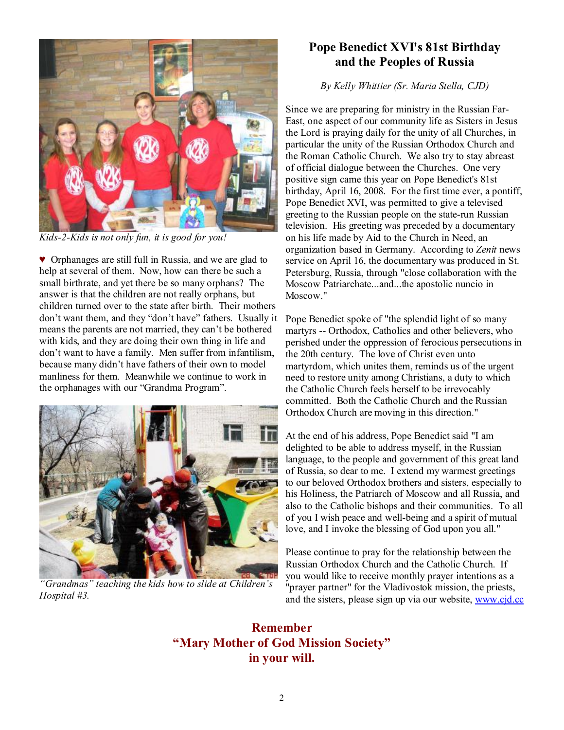

*Kids-2-Kids is not only fun, it is good for you!* 

♥ Orphanages are still full in Russia, and we are glad to help at several of them. Now, how can there be such a small birthrate, and yet there be so many orphans? The answer is that the children are not really orphans, but children turned over to the state after birth. Their mothers don't want them, and they "don't have" fathers. Usually it means the parents are not married, they can't be bothered with kids, and they are doing their own thing in life and don't want to have a family. Men suffer from infantilism, because many didn't have fathers of their own to model manliness for them. Meanwhile we continue to work in the orphanages with our "Grandma Program".



*"Grandmas" teaching the kids how to slide at Children's Hospital #3.* 

#### **Pope Benedict XVI's 81st Birthday and the Peoples of Russia**

*By Kelly Whittier (Sr. Maria Stella, CJD)* 

Since we are preparing for ministry in the Russian Far-East, one aspect of our community life as Sisters in Jesus the Lord is praying daily for the unity of all Churches, in particular the unity of the Russian Orthodox Church and the Roman Catholic Church. We also try to stay abreast of official dialogue between the Churches. One very positive sign came this year on Pope Benedict's 81st birthday, April 16, 2008. For the first time ever, a pontiff, Pope Benedict XVI, was permitted to give a televised greeting to the Russian people on the state-run Russian television. His greeting was preceded by a documentary on his life made by Aid to the Church in Need, an organization based in Germany. According to *Zenit* news service on April 16, the documentary was produced in St. Petersburg, Russia, through "close collaboration with the Moscow Patriarchate...and...the apostolic nuncio in Moscow."

Pope Benedict spoke of "the splendid light of so many martyrs -- Orthodox, Catholics and other believers, who perished under the oppression of ferocious persecutions in the 20th century. The love of Christ even unto martyrdom, which unites them, reminds us of the urgent need to restore unity among Christians, a duty to which the Catholic Church feels herself to be irrevocably committed. Both the Catholic Church and the Russian Orthodox Church are moving in this direction."

At the end of his address, Pope Benedict said "I am delighted to be able to address myself, in the Russian language, to the people and government of this great land of Russia, so dear to me. I extend my warmest greetings to our beloved Orthodox brothers and sisters, especially to his Holiness, the Patriarch of Moscow and all Russia, and also to the Catholic bishops and their communities. To all of you I wish peace and well-being and a spirit of mutual love, and I invoke the blessing of God upon you all."

Please continue to pray for the relationship between the Russian Orthodox Church and the Catholic Church. If you would like to receive monthly prayer intentions as a "prayer partner" for the Vladivostok mission, the priests, and the sisters, please sign up via our website, [www.cjd.cc](http://www.cjd.cc)

**Remember "Mary Mother of God Mission Society" in your will.**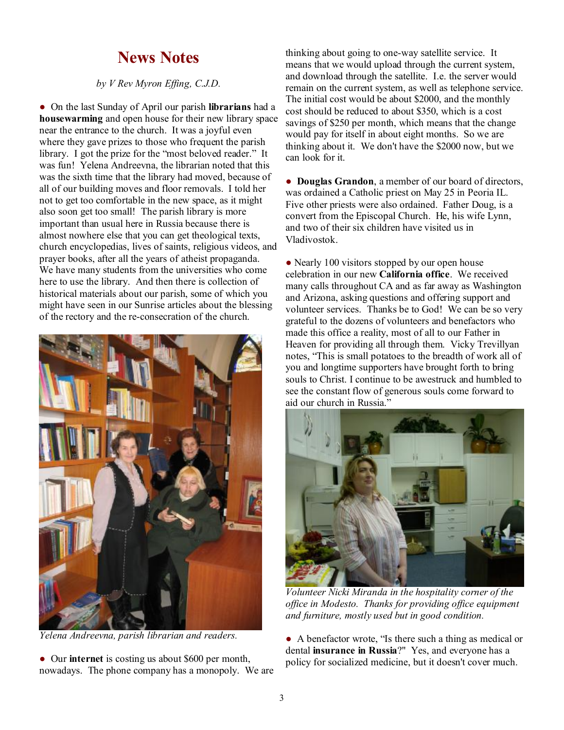## **News Notes**

*by V Rev Myron Effing, C.J.D.*

● On the last Sunday of April our parish **librarians** had a **housewarming** and open house for their new library space near the entrance to the church. It was a joyful even where they gave prizes to those who frequent the parish library. I got the prize for the "most beloved reader." It was fun! Yelena Andreevna, the librarian noted that this was the sixth time that the library had moved, because of all of our building moves and floor removals. I told her not to get too comfortable in the new space, as it might also soon get too small! The parish library is more important than usual here in Russia because there is almost nowhere else that you can get theological texts, church encyclopedias, lives of saints, religious videos, and prayer books, after all the years of atheist propaganda. We have many students from the universities who come here to use the library. And then there is collection of historical materials about our parish, some of which you might have seen in our Sunrise articles about the blessing of the rectory and the re-consecration of the church.



*Yelena Andreevna, parish librarian and readers.* 

● Our **internet** is costing us about \$600 per month, nowadays. The phone company has a monopoly. We are thinking about going to one-way satellite service. It means that we would upload through the current system, and download through the satellite. I.e. the server would remain on the current system, as well as telephone service. The initial cost would be about \$2000, and the monthly cost should be reduced to about \$350, which is a cost savings of \$250 per month, which means that the change would pay for itself in about eight months. So we are thinking about it. We don't have the \$2000 now, but we can look for it.

● **Douglas Grandon**, a member of our board of directors, was ordained a Catholic priest on May 25 in Peoria IL. Five other priests were also ordained. Father Doug, is a convert from the Episcopal Church. He, his wife Lynn, and two of their six children have visited us in Vladivostok.

• Nearly 100 visitors stopped by our open house celebration in our new **California office**. We received many calls throughout CA and as far away as Washington and Arizona, asking questions and offering support and volunteer services. Thanks be to God! We can be so very grateful to the dozens of volunteers and benefactors who made this office a reality, most of all to our Father in Heaven for providing all through them. Vicky Trevillyan notes, "This is small potatoes to the breadth of work all of you and longtime supporters have brought forth to bring souls to Christ. I continue to be awestruck and humbled to see the constant flow of generous souls come forward to aid our church in Russia."



*Volunteer Nicki Miranda in the hospitality corner of the office in Modesto. Thanks for providing office equipment and furniture, mostly used but in good condition.* 

● A benefactor wrote, "Is there such a thing as medical or dental **insurance in Russia**?" Yes, and everyone has a policy for socialized medicine, but it doesn't cover much.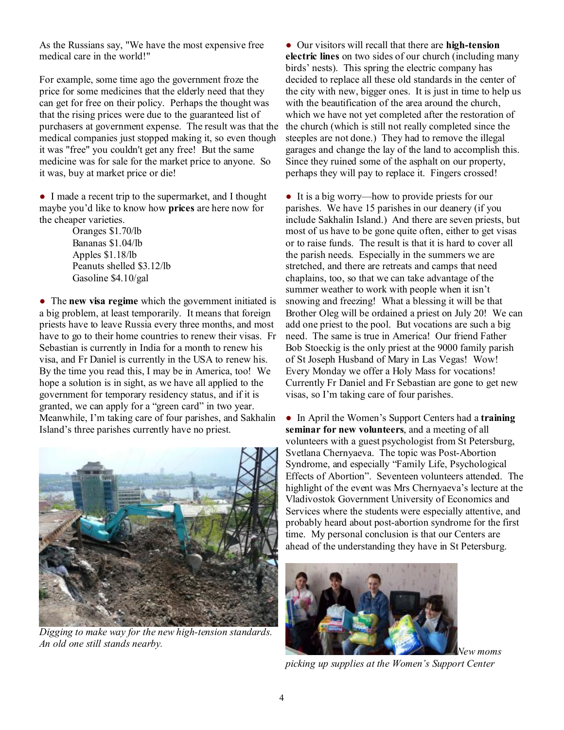As the Russians say, "We have the most expensive free medical care in the world!"

For example, some time ago the government froze the price for some medicines that the elderly need that they can get for free on their policy. Perhaps the thought was that the rising prices were due to the guaranteed list of purchasers at government expense. The result was that the medical companies just stopped making it, so even though it was "free" you couldn't get any free! But the same medicine was for sale for the market price to anyone. So it was, buy at market price or die!

● I made a recent trip to the supermarket, and I thought maybe you'd like to know how **prices** are here now for the cheaper varieties.

Oranges \$1.70/lb Bananas \$1.04/lb Apples \$1.18/lb Peanuts shelled \$3.12/lb Gasoline \$4.10/gal

● The **new visa regime** which the government initiated is a big problem, at least temporarily. It means that foreign priests have to leave Russia every three months, and most have to go to their home countries to renew their visas. Fr Sebastian is currently in India for a month to renew his visa, and Fr Daniel is currently in the USA to renew his. By the time you read this, I may be in America, too! We hope a solution is in sight, as we have all applied to the government for temporary residency status, and if it is granted, we can apply for a "green card" in two year. Meanwhile, I'm taking care of four parishes, and Sakhalin Island's three parishes currently have no priest.



*Digging to make way for the new high-tension standards. An old one still stands nearby.* 

● Our visitors will recall that there are **high-tension electric lines** on two sides of our church (including many birds' nests). This spring the electric company has decided to replace all these old standards in the center of the city with new, bigger ones. It is just in time to help us with the beautification of the area around the church, which we have not yet completed after the restoration of the church (which is still not really completed since the steeples are not done.) They had to remove the illegal garages and change the lay of the land to accomplish this. Since they ruined some of the asphalt on our property, perhaps they will pay to replace it. Fingers crossed!

• It is a big worry—how to provide priests for our parishes. We have 15 parishes in our deanery (if you include Sakhalin Island.) And there are seven priests, but most of us have to be gone quite often, either to get visas or to raise funds. The result is that it is hard to cover all the parish needs. Especially in the summers we are stretched, and there are retreats and camps that need chaplains, too, so that we can take advantage of the summer weather to work with people when it isn't snowing and freezing! What a blessing it will be that Brother Oleg will be ordained a priest on July 20! We can add one priest to the pool. But vocations are such a big need. The same is true in America! Our friend Father Bob Stoeckig is the only priest at the 9000 family parish of St Joseph Husband of Mary in Las Vegas! Wow! Every Monday we offer a Holy Mass for vocations! Currently Fr Daniel and Fr Sebastian are gone to get new visas, so I'm taking care of four parishes.

● In April the Women's Support Centers had a **training seminar for new volunteers**, and a meeting of all volunteers with a guest psychologist from St Petersburg, Svetlana Chernyaeva. The topic was Post-Abortion Syndrome, and especially "Family Life, Psychological Effects of Abortion". Seventeen volunteers attended. The highlight of the event was Mrs Chernyaeva's lecture at the Vladivostok Government University of Economics and Services where the students were especially attentive, and probably heard about post-abortion syndrome for the first time. My personal conclusion is that our Centers are ahead of the understanding they have in St Petersburg.



*picking up supplies at the Women's Support Center*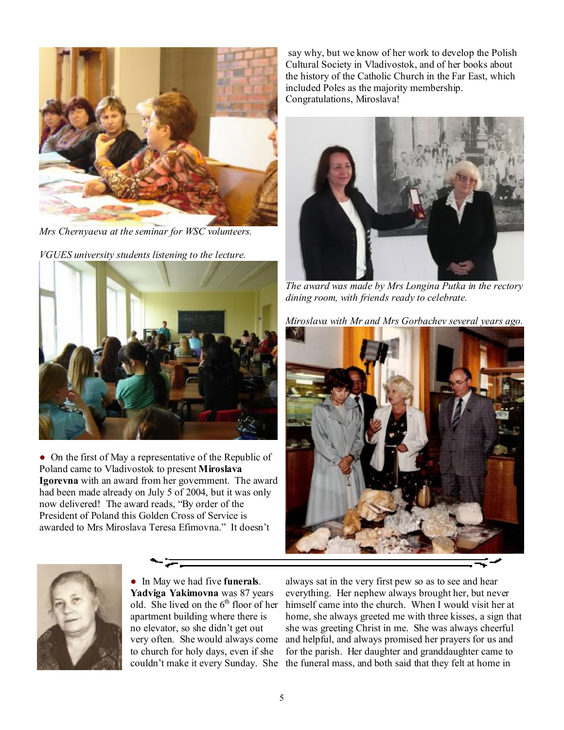

*Mrs Chernyaeva at the seminar for WSC volunteers.* 

*VGUES university students listening to the lecture.* 



• On the first of May a representative of the Republic of Poland came to Vladivostok to present **Miroslava Igorevna** with an award from her government. The award had been made already on July 5 of 2004, but it was only now delivered! The award reads, "By order of the President of Poland this Golden Cross of Service is awarded to Mrs Miroslava Teresa Efimovna." It doesn't



● In May we had five **funerals**. **Yadviga Yakimovna** was 87 years old. She lived on the  $6<sup>th</sup>$  floor of her apartment building where there is no elevator, so she didn't get out very often. She would always come to church for holy days, even if she

say why, but we know of her work to develop the Polish Cultural Society in Vladivostok, and of her books about the history of the Catholic Church in the Far East, which included Poles as the majority membership. Congratulations, Miroslava!



*The award was made by Mrs Longina Putka in the rectory dining room, with friends ready to celebrate.* 

*Miroslava with Mr and Mrs Gorbachev several years ago.* 



couldn't make it every Sunday. She the funeral mass, and both said that they felt at home in always sat in the very first pew so as to see and hear everything. Her nephew always brought her, but never himself came into the church. When I would visit her at home, she always greeted me with three kisses, a sign that she was greeting Christ in me. She was always cheerful and helpful, and always promised her prayers for us and for the parish. Her daughter and granddaughter came to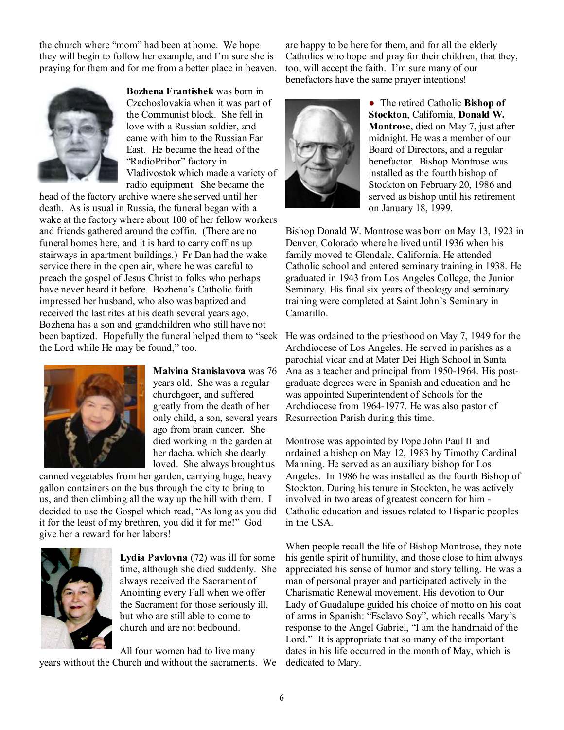the church where "mom" had been at home. We hope they will begin to follow her example, and I'm sure she is praying for them and for me from a better place in heaven.



**Bozhena Frantishek** was born in Czechoslovakia when it was part of the Communist block. She fell in love with a Russian soldier, and came with him to the Russian Far East. He became the head of the "RadioPribor" factory in Vladivostok which made a variety of radio equipment. She became the

head of the factory archive where she served until her death. As is usual in Russia, the funeral began with a wake at the factory where about 100 of her fellow workers and friends gathered around the coffin. (There are no funeral homes here, and it is hard to carry coffins up stairways in apartment buildings.) Fr Dan had the wake service there in the open air, where he was careful to preach the gospel of Jesus Christ to folks who perhaps have never heard it before. Bozhena's Catholic faith impressed her husband, who also was baptized and received the last rites at his death several years ago. Bozhena has a son and grandchildren who still have not been baptized. Hopefully the funeral helped them to "seek the Lord while He may be found," too.



**Malvina Stanislavova** was 76 years old. She was a regular churchgoer, and suffered greatly from the death of her only child, a son, several years ago from brain cancer. She died working in the garden at her dacha, which she dearly loved. She always brought us

canned vegetables from her garden, carrying huge, heavy gallon containers on the bus through the city to bring to us, and then climbing all the way up the hill with them. I decided to use the Gospel which read, "As long as you did it for the least of my brethren, you did it for me!" God give her a reward for her labors!



**Lydia Pavlovna** (72) was ill for some time, although she died suddenly. She always received the Sacrament of Anointing every Fall when we offer the Sacrament for those seriously ill, but who are still able to come to church and are not bedbound.

All four women had to live many years without the Church and without the sacraments. We dedicated to Mary.

are happy to be here for them, and for all the elderly Catholics who hope and pray for their children, that they, too, will accept the faith. I'm sure many of our benefactors have the same prayer intentions!



● The retired Catholic **Bishop of Stockton**, California, **Donald W. Montrose**, died on May 7, just after midnight. He was a member of our Board of Directors, and a regular benefactor. Bishop Montrose was installed as the fourth bishop of Stockton on February 20, 1986 and served as bishop until his retirement on January 18, 1999.

Bishop Donald W. Montrose was born on May 13, 1923 in Denver, Colorado where he lived until 1936 when his family moved to Glendale, California. He attended Catholic school and entered seminary training in 1938. He graduated in 1943 from Los Angeles College, the Junior Seminary. His final six years of theology and seminary training were completed at Saint John's Seminary in Camarillo.

He was ordained to the priesthood on May 7, 1949 for the Archdiocese of Los Angeles. He served in parishes as a parochial vicar and at Mater Dei High School in Santa Ana as a teacher and principal from 1950-1964. His postgraduate degrees were in Spanish and education and he was appointed Superintendent of Schools for the Archdiocese from 1964-1977. He was also pastor of Resurrection Parish during this time.

Montrose was appointed by Pope John Paul II and ordained a bishop on May 12, 1983 by Timothy Cardinal Manning. He served as an auxiliary bishop for Los Angeles. In 1986 he was installed as the fourth Bishop of Stockton. During his tenure in Stockton, he was actively involved in two areas of greatest concern for him - Catholic education and issues related to Hispanic peoples in the USA.

When people recall the life of Bishop Montrose, they note his gentle spirit of humility, and those close to him always appreciated his sense of humor and story telling. He was a man of personal prayer and participated actively in the Charismatic Renewal movement. His devotion to Our Lady of Guadalupe guided his choice of motto on his coat of arms in Spanish: "Esclavo Soy", which recalls Mary's response to the Angel Gabriel, "I am the handmaid of the Lord." It is appropriate that so many of the important dates in his life occurred in the month of May, which is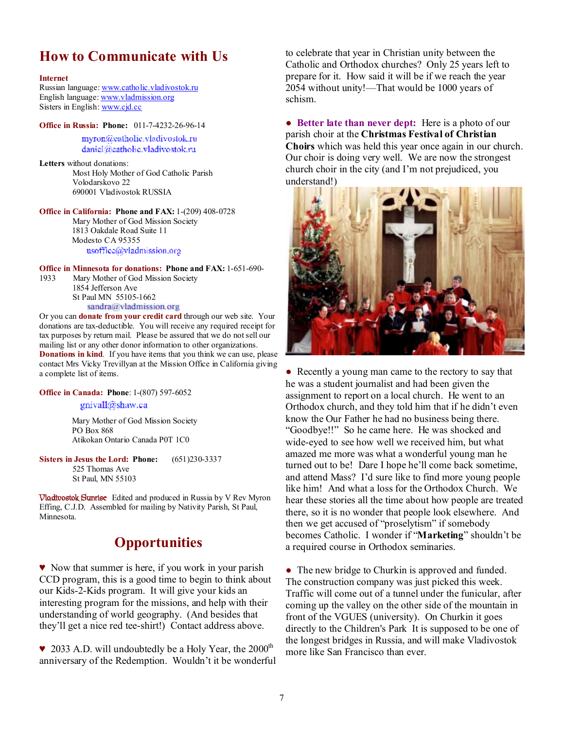#### **How to Communicate with Us**

#### **Internet**

Russian language: [www.catholic.vladivostok.ru](http://www.catholic.vladivostok.ru) English language: [www.vladmission.org](http://www.vladmission.org) Sisters in English: [www.cjd.cc](http://www.cjd.cc)

**Office in Russia: Phone:** 011-7-4232-26-96-14 myron@catholic.vladivostok.ru daniel@eatholic.vladivostok.ru

**Letters** without donations: Most Holy Mother of God Catholic Parish Volodarskovo 22 690001 Vladivostok RUSSIA

**Office in California: Phone and FAX:** 1-(209) 408-0728 Mary Mother of God Mission Society 1813 Oakdale Road Suite 11 Modesto CA 95355 usoffice@vladmission.org

**Office in Minnesota for donations: Phone and FAX:** 1-651-690-

1933 Mary Mother of God Mission Society 1854 Jefferson Ave St Paul MN 55105-1662 sandra@vladmission.org

**S c c sandra@vladmission.org**<br>Or you can **donate from your credit card** through our web site. Your donations are tax-deductible. You will receive any required receipt for tax purposes by return mail. Please be assured that we do not sell our mailing list or any other donor information to other organizations. **Donations in kind**. If you have items that you think we can use, please contact Mrs Vicky Trevillyan at the Mission Office in California giving a complete list of items.

**Office in Canada: Phone**: 1-(807) 597-6052

#### gnivall@shaw.ca

Mary Mother of God Mission Society PO Box 868 Atikokan Ontario Canada P0T 1C0

**Sisters in Jesus the Lord: Phone:** (651)230-3337 525 Thomas Ave St Paul, MN 55103

**Vladivostok Sunrise** Edited and produced in Russia by V Rev Myron Effing, C.J.D. Assembled for mailing by Nativity Parish, St Paul, Minnesota.

#### **Opportunities**

♥ Now that summer is here, if you work in your parish CCD program, this is a good time to begin to think about our Kids-2-Kids program. It will give your kids an interesting program for the missions, and help with their understanding of world geography. (And besides that they'll get a nice red tee-shirt!) Contact address above.

 $\blacktriangleright$  2033 A.D. will undoubtedly be a Holy Year, the 2000<sup>th</sup> anniversary of the Redemption. Wouldn't it be wonderful to celebrate that year in Christian unity between the Catholic and Orthodox churches? Only 25 years left to prepare for it. How said it will be if we reach the year 2054 without unity!—That would be 1000 years of schism.

● **Better late than never dept:** Here is a photo of our parish choir at the **Christmas Festival of Christian Choirs** which was held this year once again in our church. Our choir is doing very well. We are now the strongest church choir in the city (and I'm not prejudiced, you understand!)



• Recently a young man came to the rectory to say that he was a student journalist and had been given the assignment to report on a local church. He went to an Orthodox church, and they told him that if he didn't even know the Our Father he had no business being there. "Goodbye!!" So he came here. He was shocked and wide-eyed to see how well we received him, but what amazed me more was what a wonderful young man he turned out to be! Dare I hope he'll come back sometime, and attend Mass? I'd sure like to find more young people like him! And what a loss for the Orthodox Church. We hear these stories all the time about how people are treated there, so it is no wonder that people look elsewhere. And then we get accused of "proselytism" if somebody becomes Catholic. I wonder if "**Marketing**" shouldn't be a required course in Orthodox seminaries.

• The new bridge to Churkin is approved and funded. The construction company was just picked this week. Traffic will come out of a tunnel under the funicular, after coming up the valley on the other side of the mountain in front of the VGUES (university). On Churkin it goes directly to the Children's Park It is supposed to be one of the longest bridges in Russia, and will make Vladivostok more like San Francisco than ever.